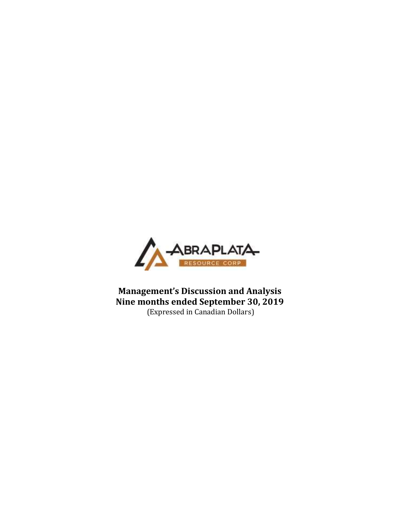

**Management's Discussion and Analysis Nine months ended September 30, 2019** (Expressed in Canadian Dollars)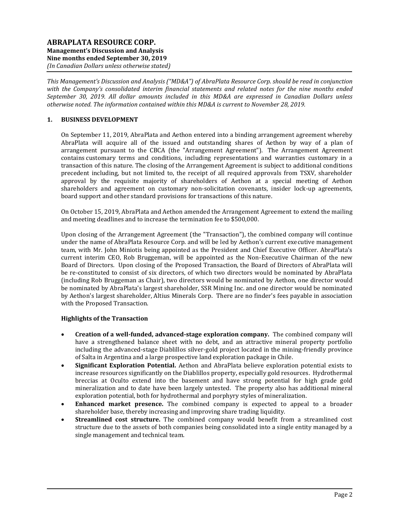*This Management's Discussion and Analysis ("MD&A") of AbraPlata Resource Corp. should be read in conjunction with the Company's consolidated interim financial statements and related notes for the nine months ended September 30, 2019. All dollar amounts included in this MD&A are expressed in Canadian Dollars unless otherwise noted. The information contained within this MD&A is current to November 28, 2019.*

# **1. BUSINESS DEVELOPMENT**

On September 11, 2019, AbraPlata and Aethon entered into a binding arrangement agreement whereby AbraPlata will acquire all of the issued and outstanding shares of Aethon by way of a plan of arrangement pursuant to the CBCA (the "Arrangement Agreement"). The Arrangement Agreement contains customary terms and conditions, including representations and warranties customary in a transaction of this nature. The closing of the Arrangement Agreement is subject to additional conditions precedent including, but not limited to, the receipt of all required approvals from TSXV, shareholder approval by the requisite majority of shareholders of Aethon at a special meeting of Aethon shareholders and agreement on customary non-solicitation covenants, insider lock-up agreements, board support and other standard provisions for transactions of this nature.

On October 15, 2019, AbraPlata and Aethon amended the Arrangement Agreement to extend the mailing and meeting deadlines and to increase the termination fee to \$500,000.

Upon closing of the Arrangement Agreement (the "Transaction"), the combined company will continue under the name of AbraPlata Resource Corp. and will be led by Aethon's current executive management team, with Mr. John Miniotis being appointed as the President and Chief Executive Officer. AbraPlata's current interim CEO, Rob Bruggeman, will be appointed as the Non-Executive Chairman of the new Board of Directors. Upon closing of the Proposed Transaction, the Board of Directors of AbraPlata will be re-constituted to consist of six directors, of which two directors would be nominated by AbraPlata (including Rob Bruggeman as Chair), two directors would be nominated by Aethon, one director would be nominated by AbraPlata's largest shareholder, SSR Mining Inc. and one director would be nominated by Aethon's largest shareholder, Altius Minerals Corp. There are no finder's fees payable in association with the Proposed Transaction.

### **Highlights of the Transaction**

- **Creation of a well-funded, advanced-stage exploration company.** The combined company will have a strengthened balance sheet with no debt, and an attractive mineral property portfolio including the advanced-stage Diablillos silver-gold project located in the mining-friendly province of Salta in Argentina and a large prospective land exploration package in Chile.
- **Significant Exploration Potential.** Aethon and AbraPlata believe exploration potential exists to increase resources significantly on the Diablillos property, especially gold resources. Hydrothermal breccias at Oculto extend into the basement and have strong potential for high grade gold mineralization and to date have been largely untested. The property also has additional mineral exploration potential, both for hydrothermal and porphyry styles of mineralization.
- **Enhanced market presence.** The combined company is expected to appeal to a broader shareholder base, thereby increasing and improving share trading liquidity.
- **Streamlined cost structure.** The combined company would benefit from a streamlined cost structure due to the assets of both companies being consolidated into a single entity managed by a single management and technical team.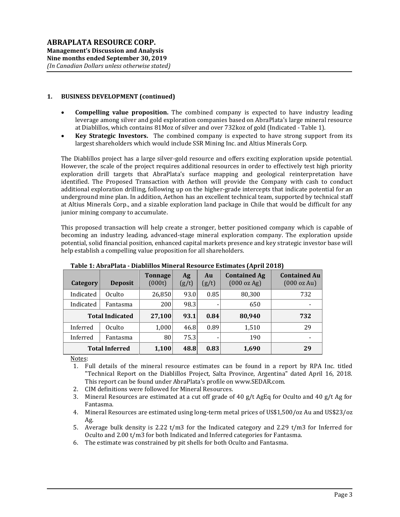# **1. BUSINESS DEVELOPMENT (continued)**

- **Compelling value proposition.** The combined company is expected to have industry leading leverage among silver and gold exploration companies based on AbraPlata's large mineral resource at Diablillos, which contains 81Moz of silver and over 732koz of gold (Indicated - Table 1).
- **Key Strategic Investors.** The combined company is expected to have strong support from its largest shareholders which would include SSR Mining Inc. and Altius Minerals Corp.

The Diablillos project has a large silver-gold resource and offers exciting exploration upside potential. However, the scale of the project requires additional resources in order to effectively test high priority exploration drill targets that AbraPlata's surface mapping and geological reinterpretation have identified. The Proposed Transaction with Aethon will provide the Company with cash to conduct additional exploration drilling, following up on the higher-grade intercepts that indicate potential for an underground mine plan. In addition, Aethon has an excellent technical team, supported by technical staff at Altius Minerals Corp., and a sizable exploration land package in Chile that would be difficult for any junior mining company to accumulate.

This proposed transaction will help create a stronger, better positioned company which is capable of becoming an industry leading, advanced-stage mineral exploration company. The exploration upside potential, solid financial position, enhanced capital markets presence and key strategic investor base will help establish a compelling value proposition for all shareholders.

|           |                        |                          |             |             | . .                                |                                    |
|-----------|------------------------|--------------------------|-------------|-------------|------------------------------------|------------------------------------|
| Category  | <b>Deposit</b>         | <b>Tonnage</b><br>(000t) | Ag<br>(g/t) | Au<br>(g/t) | <b>Contained Ag</b><br>(000 oz Ag) | <b>Contained Au</b><br>(000 oz Au) |
| Indicated | Oculto                 | 26,850                   | 93.0        | 0.85        | 80,300                             | 732                                |
| Indicated | Fantasma               | 200                      | 98.3        |             | 650                                |                                    |
|           | <b>Total Indicated</b> | 27,100                   | 93.1        | 0.84        | 80,940                             | 732                                |
| Inferred  | Oculto                 | 1,000                    | 46.8        | 0.89        | 1,510                              | 29                                 |
| Inferred  | Fantasma               | 80                       | 75.3        |             | 190                                |                                    |
|           | <b>Total Inferred</b>  | 1,100                    | 48.8        | 0.83        | 1,690                              | 29                                 |

### **Table 1: AbraPlata - Diablillos Mineral Resource Estimates (April 2018)**

Notes:

- 1. Full details of the mineral resource estimates can be found in a report by RPA Inc. titled "Technical Report on the Diablillos Project, Salta Province, Argentina" dated April 16, 2018. This report can be found under AbraPlata's profile on www.SEDAR.com.
- 2. CIM definitions were followed for Mineral Resources.
- 3. Mineral Resources are estimated at a cut off grade of 40 g/t AgEq for Oculto and 40 g/t Ag for Fantasma.
- 4. Mineral Resources are estimated using long-term metal prices of US\$1,500/oz Au and US\$23/oz Ag.
- 5. Average bulk density is 2.22 t/m3 for the Indicated category and 2.29 t/m3 for Inferred for Oculto and 2.00 t/m3 for both Indicated and Inferred categories for Fantasma.
- 6. The estimate was constrained by pit shells for both Oculto and Fantasma.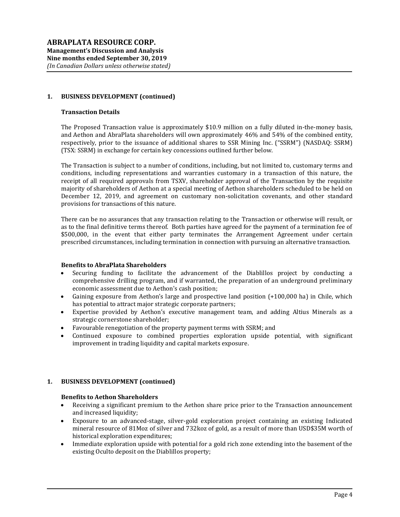### **1. BUSINESS DEVELOPMENT (continued)**

#### **Transaction Details**

The Proposed Transaction value is approximately \$10.9 million on a fully diluted in-the-money basis, and Aethon and AbraPlata shareholders will own approximately 46% and 54% of the combined entity, respectively, prior to the issuance of additional shares to SSR Mining Inc. ("SSRM") (NASDAQ: SSRM) (TSX: SSRM) in exchange for certain key concessions outlined further below.

The Transaction is subject to a number of conditions, including, but not limited to, customary terms and conditions, including representations and warranties customary in a transaction of this nature, the receipt of all required approvals from TSXV, shareholder approval of the Transaction by the requisite majority of shareholders of Aethon at a special meeting of Aethon shareholders scheduled to be held on December 12, 2019, and agreement on customary non-solicitation covenants, and other standard provisions for transactions of this nature.

There can be no assurances that any transaction relating to the Transaction or otherwise will result, or as to the final definitive terms thereof. Both parties have agreed for the payment of a termination fee of \$500,000, in the event that either party terminates the Arrangement Agreement under certain prescribed circumstances, including termination in connection with pursuing an alternative transaction.

#### **Benefits to AbraPlata Shareholders**

- Securing funding to facilitate the advancement of the Diablillos project by conducting a comprehensive drilling program, and if warranted, the preparation of an underground preliminary economic assessment due to Aethon's cash position;
- Gaining exposure from Aethon's large and prospective land position (+100,000 ha) in Chile, which has potential to attract major strategic corporate partners;
- Expertise provided by Aethon's executive management team, and adding Altius Minerals as a strategic cornerstone shareholder;
- Favourable renegotiation of the property payment terms with SSRM; and
- Continued exposure to combined properties exploration upside potential, with significant improvement in trading liquidity and capital markets exposure.

### **1. BUSINESS DEVELOPMENT (continued)**

#### **Benefits to Aethon Shareholders**

- Receiving a significant premium to the Aethon share price prior to the Transaction announcement and increased liquidity;
- Exposure to an advanced-stage, silver-gold exploration project containing an existing Indicated mineral resource of 81Moz of silver and 732koz of gold, as a result of more than USD\$35M worth of historical exploration expenditures;
- Immediate exploration upside with potential for a gold rich zone extending into the basement of the existing Oculto deposit on the Diablillos property;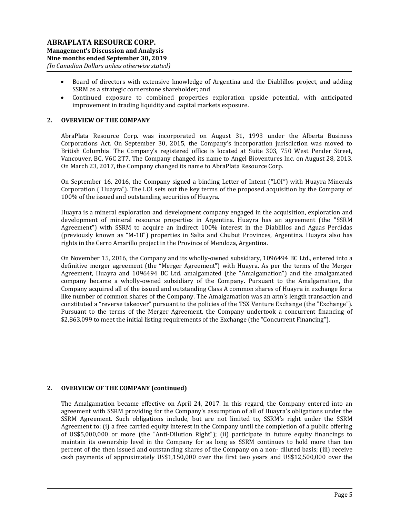- Board of directors with extensive knowledge of Argentina and the Diablillos project, and adding SSRM as a strategic cornerstone shareholder; and
- Continued exposure to combined properties exploration upside potential, with anticipated improvement in trading liquidity and capital markets exposure.

## **2. OVERVIEW OF THE COMPANY**

AbraPlata Resource Corp. was incorporated on August 31, 1993 under the Alberta Business Corporations Act. On September 30, 2015, the Company's incorporation jurisdiction was moved to British Columbia. The Company's registered office is located at Suite 303, 750 West Pender Street, Vancouver, BC, V6C 2T7. The Company changed its name to Angel Bioventures Inc. on August 28, 2013. On March 23, 2017, the Company changed its name to AbraPlata Resource Corp.

On September 16, 2016, the Company signed a binding Letter of Intent ("LOI") with Huayra Minerals Corporation ("Huayra"). The LOI sets out the key terms of the proposed acquisition by the Company of 100% of the issued and outstanding securities of Huayra.

Huayra is a mineral exploration and development company engaged in the acquisition, exploration and development of mineral resource properties in Argentina. Huayra has an agreement (the "SSRM Agreement") with SSRM to acquire an indirect 100% interest in the Diablillos and Aguas Perdidas (previously known as "M-18") properties in Salta and Chubut Provinces, Argentina. Huayra also has rights in the Cerro Amarillo project in the Province of Mendoza, Argentina.

On November 15, 2016, the Company and its wholly-owned subsidiary, 1096494 BC Ltd., entered into a definitive merger agreement (the "Merger Agreement") with Huayra. As per the terms of the Merger Agreement, Huayra and 1096494 BC Ltd. amalgamated (the "Amalgamation") and the amalgamated company became a wholly-owned subsidiary of the Company. Pursuant to the Amalgamation, the Company acquired all of the issued and outstanding Class A common shares of Huayra in exchange for a like number of common shares of the Company. The Amalgamation was an arm's length transaction and constituted a "reverse takeover" pursuant to the policies of the TSX Venture Exchange (the "Exchange"). Pursuant to the terms of the Merger Agreement, the Company undertook a concurrent financing of \$2,863,099 to meet the initial listing requirements of the Exchange (the "Concurrent Financing").

### **2. OVERVIEW OF THE COMPANY (continued)**

The Amalgamation became effective on April 24, 2017. In this regard, the Company entered into an agreement with SSRM providing for the Company's assumption of all of Huayra's obligations under the SSRM Agreement. Such obligations include, but are not limited to, SSRM's right under the SSRM Agreement to: (i) a free carried equity interest in the Company until the completion of a public offering of US\$5,000,000 or more (the "Anti-Dilution Right"); (ii) participate in future equity financings to maintain its ownership level in the Company for as long as SSRM continues to hold more than ten percent of the then issued and outstanding shares of the Company on a non- diluted basis; (iii) receive cash payments of approximately US\$1,150,000 over the first two years and US\$12,500,000 over the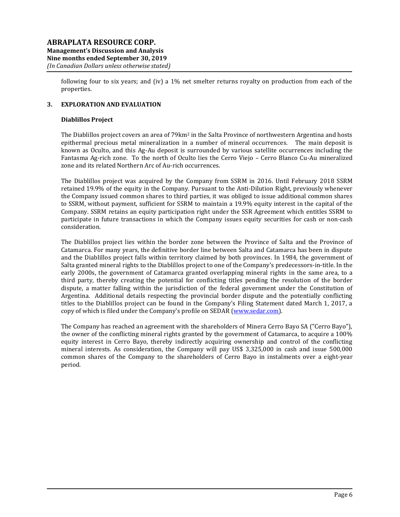following four to six years; and (iv) a 1% net smelter returns royalty on production from each of the properties.

# **3. EXPLORATION AND EVALUATION**

#### **Diablillos Project**

The Diablillos project covers an area of 79km<sup>2</sup> in the Salta Province of northwestern Argentina and hosts epithermal precious metal mineralization in a number of mineral occurrences. The main deposit is known as Oculto, and this Ag-Au deposit is surrounded by various satellite occurrences including the Fantasma Ag-rich zone. To the north of Oculto lies the Cerro Viejo – Cerro Blanco Cu-Au mineralized zone and its related Northern Arc of Au-rich occurrences.

The Diablillos project was acquired by the Company from SSRM in 2016. Until February 2018 SSRM retained 19.9% of the equity in the Company. Pursuant to the Anti-Dilution Right, previously whenever the Company issued common shares to third parties, it was obliged to issue additional common shares to SSRM, without payment, sufficient for SSRM to maintain a 19.9% equity interest in the capital of the Company. SSRM retains an equity participation right under the SSR Agreement which entitles SSRM to participate in future transactions in which the Company issues equity securities for cash or non-cash consideration.

The Diablillos project lies within the border zone between the Province of Salta and the Province of Catamarca. For many years, the definitive border line between Salta and Catamarca has been in dispute and the Diablillos project falls within territory claimed by both provinces. In 1984, the government of Salta granted mineral rights to the Diablillos project to one of the Company's predecessors-in-title. In the early 2000s, the government of Catamarca granted overlapping mineral rights in the same area, to a third party, thereby creating the potential for conflicting titles pending the resolution of the border dispute, a matter falling within the jurisdiction of the federal government under the Constitution of Argentina. Additional details respecting the provincial border dispute and the potentially conflicting titles to the Diablillos project can be found in the Company's Filing Statement dated March 1, 2017, a copy of which is filed under the Company's profile on SEDAR [\(www.sedar.com\)](http://www.sedar.com/).

The Company has reached an agreement with the shareholders of Minera Cerro Bayo SA ("Cerro Bayo"), the owner of the conflicting mineral rights granted by the government of Catamarca, to acquire a 100% equity interest in Cerro Bayo, thereby indirectly acquiring ownership and control of the conflicting mineral interests. As consideration, the Company will pay US\$ 3,325,000 in cash and issue 500,000 common shares of the Company to the shareholders of Cerro Bayo in instalments over a eight-year period.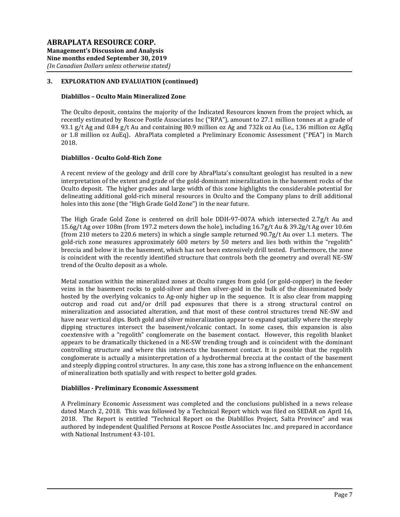#### **Diablillos – Oculto Main Mineralized Zone**

The Oculto deposit, contains the majority of the Indicated Resources known from the project which, as recently estimated by Roscoe Postle Associates Inc ("RPA"), amount to 27.1 million tonnes at a grade of 93.1 g/t Ag and 0.84 g/t Au and containing 80.9 million oz Ag and 732k oz Au (i.e., 136 million oz AgEq or 1.8 million oz AuEq). AbraPlata completed a Preliminary Economic Assessment ("PEA") in March 2018.

# **Diablillos - Oculto Gold-Rich Zone**

A recent review of the geology and drill core by AbraPlata's consultant geologist has resulted in a new interpretation of the extent and grade of the gold-dominant mineralization in the basement rocks of the Oculto deposit. The higher grades and large width of this zone highlights the considerable potential for delineating additional gold-rich mineral resources in Oculto and the Company plans to drill additional holes into this zone (the "High Grade Gold Zone") in the near future.

The High Grade Gold Zone is centered on drill hole DDH-97-007A which intersected 2.7g/t Au and 15.6g/t Ag over 108m (from 197.2 meters down the hole), including 16.7g/t Au & 39.2g/t Ag over 10.6m (from 210 meters to 220.6 meters) in which a single sample returned 90.7g/t Au over 1.1 meters. The gold-rich zone measures approximately 600 meters by 50 meters and lies both within the "regolith" breccia and below it in the basement, which has not been extensively drill tested. Furthermore, the zone is coincident with the recently identified structure that controls both the geometry and overall NE-SW trend of the Oculto deposit as a whole.

Metal zonation within the mineralized zones at Oculto ranges from gold (or gold-copper) in the feeder veins in the basement rocks to gold-silver and then silver-gold in the bulk of the disseminated body hosted by the overlying volcanics to Ag-only higher up in the sequence. It is also clear from mapping outcrop and road cut and/or drill pad exposures that there is a strong structural control on mineralization and associated alteration, and that most of these control structures trend NE-SW and have near vertical dips. Both gold and silver mineralization appear to expand spatially where the steeply dipping structures intersect the basement/volcanic contact. In some cases, this expansion is also coextensive with a "regolith" conglomerate on the basement contact. However, this regolith blanket appears to be dramatically thickened in a NE-SW trending trough and is coincident with the dominant controlling structure and where this intersects the basement contact. It is possible that the regolith conglomerate is actually a misinterpretation of a hydrothermal breccia at the contact of the basement and steeply dipping control structures. In any case, this zone has a strong influence on the enhancement of mineralization both spatially and with respect to better gold grades.

### **Diablillos - Preliminary Economic Assessment**

A Preliminary Economic Assessment was completed and the conclusions published in a news release dated March 2, 2018. This was followed by a Technical Report which was filed on SEDAR on April 16, 2018. The Report is entitled "Technical Report on the Diablillos Project, Salta Province" and was authored by independent Qualified Persons at Roscoe Postle Associates Inc. and prepared in accordance with National Instrument 43-101.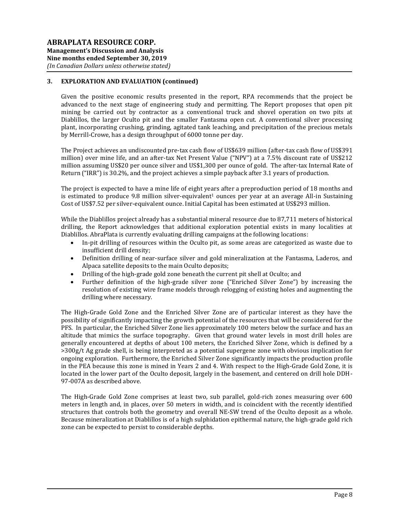Given the positive economic results presented in the report, RPA recommends that the project be advanced to the next stage of engineering study and permitting. The Report proposes that open pit mining be carried out by contractor as a conventional truck and shovel operation on two pits at Diablillos, the larger Oculto pit and the smaller Fantasma open cut. A conventional silver processing plant, incorporating crushing, grinding, agitated tank leaching, and precipitation of the precious metals by Merrill-Crowe, has a design throughput of 6000 tonne per day.

The Project achieves an undiscounted pre-tax cash flow of US\$639 million (after-tax cash flow of US\$391 million) over mine life, and an after-tax Net Present Value ("NPV") at a 7.5% discount rate of US\$212 million assuming US\$20 per ounce silver and US\$1,300 per ounce of gold. The after-tax Internal Rate of Return ("IRR") is 30.2%, and the project achieves a simple payback after 3.1 years of production.

The project is expected to have a mine life of eight years after a preproduction period of 18 months and is estimated to produce 9.8 million silver-equivalent<sup>1</sup> ounces per year at an average All-in Sustaining Cost of US\$7.52 per silver-equivalent ounce. Initial Capital has been estimated at US\$293 million.

While the Diablillos project already has a substantial mineral resource due to 87,711 meters of historical drilling, the Report acknowledges that additional exploration potential exists in many localities at Diablillos. AbraPlata is currently evaluating drilling campaigns at the following locations:

- In-pit drilling of resources within the Oculto pit, as some areas are categorized as waste due to insufficient drill density;
- Definition drilling of near-surface silver and gold mineralization at the Fantasma, Laderos, and Alpaca satellite deposits to the main Oculto deposits;
- Drilling of the high-grade gold zone beneath the current pit shell at Oculto; and
- Further definition of the high-grade silver zone ("Enriched Silver Zone") by increasing the resolution of existing wire frame models through relogging of existing holes and augmenting the drilling where necessary.

The High-Grade Gold Zone and the Enriched Silver Zone are of particular interest as they have the possibility of significantly impacting the growth potential of the resources that will be considered for the PFS. In particular, the Enriched Silver Zone lies approximately 100 meters below the surface and has an altitude that mimics the surface topography. Given that ground water levels in most drill holes are generally encountered at depths of about 100 meters, the Enriched Silver Zone, which is defined by a >300g/t Ag grade shell, is being interpreted as a potential supergene zone with obvious implication for ongoing exploration. Furthermore, the Enriched Silver Zone significantly impacts the production profile in the PEA because this zone is mined in Years 2 and 4. With respect to the High-Grade Gold Zone, it is located in the lower part of the Oculto deposit, largely in the basement, and centered on drill hole DDH-97-007A as described above.

The High-Grade Gold Zone comprises at least two, sub parallel, gold-rich zones measuring over 600 meters in length and, in places, over 50 meters in width, and is coincident with the recently identified structures that controls both the geometry and overall NE-SW trend of the Oculto deposit as a whole. Because mineralization at Diablillos is of a high sulphidation epithermal nature, the high-grade gold rich zone can be expected to persist to considerable depths.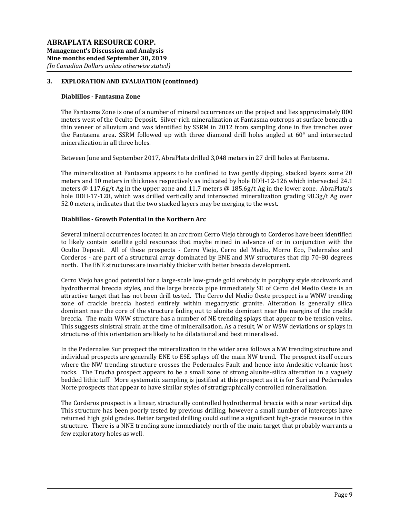#### **Diablillos - Fantasma Zone**

The Fantasma Zone is one of a number of mineral occurrences on the project and lies approximately 800 meters west of the Oculto Deposit. Silver-rich mineralization at Fantasma outcrops at surface beneath a thin veneer of alluvium and was identified by SSRM in 2012 from sampling done in five trenches over the Fantasma area. SSRM followed up with three diamond drill holes angled at 60° and intersected mineralization in all three holes.

Between June and September 2017, AbraPlata drilled 3,048 meters in 27 drill holes at Fantasma.

The mineralization at Fantasma appears to be confined to two gently dipping, stacked layers some 20 meters and 10 meters in thickness respectively as indicated by hole DDH-12-126 which intersected 24.1 meters @ 117.6g/t Ag in the upper zone and 11.7 meters @ 185.6g/t Ag in the lower zone. AbraPlata's hole DDH-17-128, which was drilled vertically and intersected mineralization grading 98.3g/t Ag over 52.0 meters, indicates that the two stacked layers may be merging to the west.

### **Diablillos - Growth Potential in the Northern Arc**

Several mineral occurrences located in an arc from Cerro Viejo through to Corderos have been identified to likely contain satellite gold resources that maybe mined in advance of or in conjunction with the Oculto Deposit. All of these prospects - Cerro Viejo, Cerro del Medio, Morro Eco, Pedernales and Corderos - are part of a structural array dominated by ENE and NW structures that dip 70-80 degrees north. The ENE structures are invariably thicker with better breccia development.

Cerro Viejo has good potential for a large-scale low-grade gold orebody in porphyry style stockwork and hydrothermal breccia styles, and the large breccia pipe immediately SE of Cerro del Medio Oeste is an attractive target that has not been drill tested. The Cerro del Medio Oeste prospect is a WNW trending zone of crackle breccia hosted entirely within megacrystic granite. Alteration is generally silica dominant near the core of the structure fading out to alunite dominant near the margins of the crackle breccia. The main WNW structure has a number of NE trending splays that appear to be tension veins. This suggests sinistral strain at the time of mineralisation. As a result, W or WSW deviations or splays in structures of this orientation are likely to be dilatational and best mineralised.

In the Pedernales Sur prospect the mineralization in the wider area follows a NW trending structure and individual prospects are generally ENE to ESE splays off the main NW trend. The prospect itself occurs where the NW trending structure crosses the Pedernales Fault and hence into Andesitic volcanic host rocks. The Trucha prospect appears to be a small zone of strong alunite-silica alteration in a vaguely bedded lithic tuff. More systematic sampling is justified at this prospect as it is for Suri and Pedernales Norte prospects that appear to have similar styles of stratigraphically controlled mineralization.

The Corderos prospect is a linear, structurally controlled hydrothermal breccia with a near vertical dip. This structure has been poorly tested by previous drilling, however a small number of intercepts have returned high gold grades. Better targeted drilling could outline a significant high-grade resource in this structure. There is a NNE trending zone immediately north of the main target that probably warrants a few exploratory holes as well.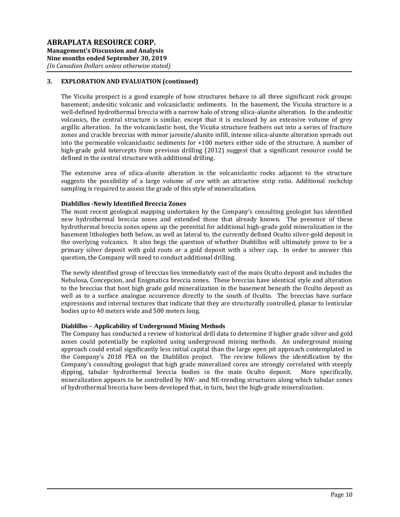The Vicuña prospect is a good example of how structures behave in all three significant rock groups: basement; andesitic volcanic and volcaniclastic sediments. In the basement, the Vicuña structure is a well-defined hydrothermal breccia with a narrow halo of strong silica-alunite alteration. In the andesitic volcanics, the central structure is similar, except that it is enclosed by an extensive volume of grey argillic alteration. In the volcaniclastic host, the Vicuña structure feathers out into a series of fracture zones and crackle breccias with minor jarosite/alunite infill, intense silica-alunite alteration spreads out into the permeable volcaniclastic sediments for +100 meters either side of the structure. A number of high-grade gold intercepts from previous drilling (2012) suggest that a significant resource could be defined in the central structure with additional drilling.

The extensive area of silica-alunite alteration in the volcaniclastic rocks adjacent to the structure suggests the possibility of a large volume of ore with an attractive strip ratio. Additional rockchip sampling is required to assess the grade of this style of mineralization.

### **Diablillos -Newly Identified Breccia Zones**

The most recent geological mapping undertaken by the Company's consulting geologist has identified new hydrothermal breccia zones and extended those that already known. The presence of these hydrothermal breccia zones opens up the potential for additional high-grade gold mineralization in the basement lithologies both below, as well as lateral to, the currently defined Oculto silver-gold deposit in the overlying volcanics. It also begs the question of whether Diablillos will ultimately prove to be a primary silver deposit with gold roots or a gold deposit with a silver cap. In order to answer this question, the Company will need to conduct additional drilling.

The newly identified group of breccias lies immediately east of the main Oculto deposit and includes the Nebulosa, Concepcion, and Enigmatica breccia zones. These breccias have identical style and alteration to the breccias that host high grade gold mineralization in the basement beneath the Oculto deposit as well as to a surface analogue occurrence directly to the south of Oculto. The breccias have surface expressions and internal textures that indicate that they are structurally controlled, planar to lenticular bodies up to 40 meters wide and 500 meters long.

# **Diablillos – Applicability of Underground Mining Methods**

The Company has conducted a review of historical drill data to determine if higher grade silver and gold zones could potentially be exploited using underground mining methods. An underground mining approach could entail significantly less initial capital than the large open pit approach contemplated in the Company's 2018 PEA on the Diablillos project. The review follows the identification by the Company's consulting geologist that high grade mineralized cores are strongly correlated with steeply dipping, tabular hydrothermal breccia bodies in the main Oculto deposit. More specifically, mineralization appears to be controlled by NW- and NE-trending structures along which tabular zones of hydrothermal breccia have been developed that, in turn, host the high-grade mineralization.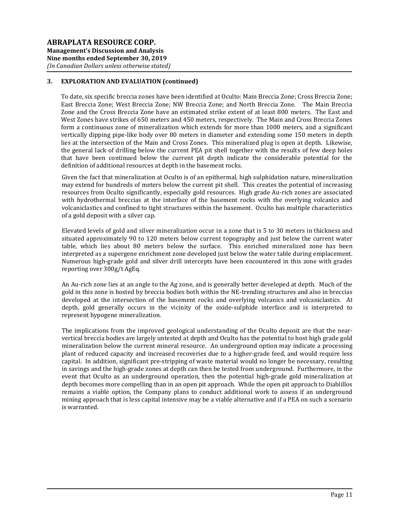To date, six specific breccia zones have been identified at Oculto: Main Breccia Zone; Cross Breccia Zone; East Breccia Zone; West Breccia Zone; NW Breccia Zone; and North Breccia Zone. The Main Breccia Zone and the Cross Breccia Zone have an estimated strike extent of at least 800 meters. The East and West Zones have strikes of 650 meters and 450 meters, respectively. The Main and Cross Breccia Zones form a continuous zone of mineralization which extends for more than 1000 meters, and a significant vertically dipping pipe-like body over 80 meters in diameter and extending some 150 meters in depth lies at the intersection of the Main and Cross Zones. This mineralized plug is open at depth. Likewise, the general lack of drilling below the current PEA pit shell together with the results of few deep holes that have been continued below the current pit depth indicate the considerable potential for the definition of additional resources at depth in the basement rocks.

Given the fact that mineralization at Oculto is of an epithermal, high sulphidation nature, mineralization may extend for hundreds of meters below the current pit shell. This creates the potential of increasing resources from Oculto significantly, especially gold resources. High grade Au-rich zones are associated with hydrothermal breccias at the interface of the basement rocks with the overlying volcanics and volcaniclastics and confined to tight structures within the basement. Oculto has multiple characteristics of a gold deposit with a silver cap.

Elevated levels of gold and silver mineralization occur in a zone that is 5 to 30 meters in thickness and situated approximately 90 to 120 meters below current topography and just below the current water table, which lies about 80 meters below the surface. This enriched mineralized zone has been interpreted as a supergene enrichment zone developed just below the water table during emplacement. Numerous high-grade gold and silver drill intercepts have been encountered in this zone with grades reporting over 300g/t AgEq.

An Au-rich zone lies at an angle to the Ag zone, and is generally better developed at depth. Much of the gold in this zone is hosted by breccia bodies both within the NE-trending structures and also in breccias developed at the intersection of the basement rocks and overlying volcanics and volcaniclastics. At depth, gold generally occurs in the vicinity of the oxide-sulphide interface and is interpreted to represent hypogene mineralization.

The implications from the improved geological understanding of the Oculto deposit are that the nearvertical breccia bodies are largely untested at depth and Oculto has the potential to host high grade gold mineralization below the current mineral resource. An underground option may indicate a processing plant of reduced capacity and increased recoveries due to a higher-grade feed, and would require less capital. In addition, significant pre-stripping of waste material would no longer be necessary, resulting in savings and the high-grade zones at depth can then be tested from underground. Furthermore, in the event that Oculto as an underground operation, then the potential high-grade gold mineralization at depth becomes more compelling than in an open pit approach. While the open pit approach to Diablillos remains a viable option, the Company plans to conduct additional work to assess if an underground mining approach that is less capital intensive may be a viable alternative and if a PEA on such a scenario is warranted.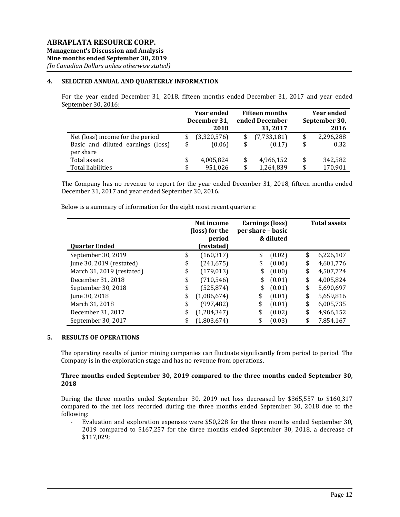# **4. SELECTED ANNUAL AND QUARTERLY INFORMATION**

For the year ended December 31, 2018, fifteen months ended December 31, 2017 and year ended September 30, 2016:

|                                   | <b>Year ended</b> |                | <b>Fifteen months</b> | <b>Year ended</b> |               |  |
|-----------------------------------|-------------------|----------------|-----------------------|-------------------|---------------|--|
|                                   | December 31,      | ended December |                       |                   | September 30, |  |
|                                   | 2018              |                | 31, 2017              |                   | 2016          |  |
| Net (loss) income for the period  | (3,320,576)       | \$             | (7,733,181)           | \$                | 2,296,288     |  |
| Basic and diluted earnings (loss) | \$<br>(0.06)      | \$             | (0.17)                | \$                | 0.32          |  |
| per share                         |                   |                |                       |                   |               |  |
| Total assets                      | \$<br>4,005,824   | \$             | 4,966,152             | \$                | 342,582       |  |
| <b>Total liabilities</b>          | \$<br>951.026     | \$             | 1,264,839             | \$                | 170,901       |  |

The Company has no revenue to report for the year ended December 31, 2018, fifteen months ended December 31, 2017 and year ended September 30, 2016.

Below is a summary of information for the eight most recent quarters:

|                           | Net income<br>(loss) for the<br>period |    | <b>Earnings (loss)</b><br>per share - basic<br>& diluted | <b>Total assets</b> |           |  |
|---------------------------|----------------------------------------|----|----------------------------------------------------------|---------------------|-----------|--|
| <b>Quarter Ended</b>      | (restated)                             |    |                                                          |                     |           |  |
| September 30, 2019        | \$<br>(160, 317)                       | \$ | (0.02)                                                   | \$                  | 6,226,107 |  |
| June 30, 2019 (restated)  | \$<br>(241, 675)                       | \$ | (0.00)                                                   | \$                  | 4,601,776 |  |
| March 31, 2019 (restated) | \$<br>(179, 013)                       | \$ | (0.00)                                                   | \$                  | 4,507,724 |  |
| December 31, 2018         | \$<br>(710, 546)                       | \$ | (0.01)                                                   | \$                  | 4,005,824 |  |
| September 30, 2018        | \$<br>(525, 874)                       | \$ | (0.01)                                                   | \$                  | 5,690,697 |  |
| June 30, 2018             | \$<br>(1,086,674)                      | \$ | (0.01)                                                   | \$                  | 5,659,816 |  |
| March 31, 2018            | \$<br>(997, 482)                       | \$ | (0.01)                                                   | \$                  | 6,005,735 |  |
| December 31, 2017         | \$<br>(1, 284, 347)                    | \$ | (0.02)                                                   | \$                  | 4,966,152 |  |
| September 30, 2017        | \$<br>(1,803,674)                      |    | (0.03)                                                   | \$                  | 7,854,167 |  |

### **5. RESULTS OF OPERATIONS**

The operating results of junior mining companies can fluctuate significantly from period to period. The Company is in the exploration stage and has no revenue from operations.

### **Three months ended September 30, 2019 compared to the three months ended September 30, 2018**

During the three months ended September 30, 2019 net loss decreased by \$365,557 to \$160,317 compared to the net loss recorded during the three months ended September 30, 2018 due to the following:

- Evaluation and exploration expenses were \$50,228 for the three months ended September 30, 2019 compared to \$167,257 for the three months ended September 30, 2018, a decrease of \$117,029;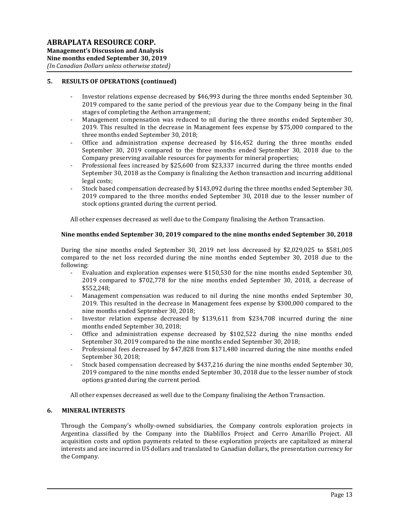## **5. RESULTS OF OPERATIONS (continued)**

- Investor relations expense decreased by \$46,993 during the three months ended September 30, 2019 compared to the same period of the previous year due to the Company being in the final stages of completing the Aethon arrangement;
- Management compensation was reduced to nil during the three months ended September 30, 2019. This resulted in the decrease in Management fees expense by \$75,000 compared to the three months ended September 30, 2018;
- Office and administration expense decreased by \$16,452 during the three months ended September 30, 2019 compared to the three months ended September 30, 2018 due to the Company preserving available resources for payments for mineral properties;
- Professional fees increased by \$25,600 from \$23,337 incurred during the three months ended September 30, 2018 as the Company is finalizing the Aethon transaction and incurring additional legal costs;
- Stock based compensation decreased by \$143,092 during the three months ended September 30, 2019 compared to the three months ended September 30, 2018 due to the lesser number of stock options granted during the current period.

All other expenses decreased as well due to the Company finalising the Aethon Transaction.

#### **Nine months ended September 30, 2019 compared to the nine months ended September 30, 2018**

During the nine months ended September 30, 2019 net loss decreased by \$2,029,025 to \$581,005 compared to the net loss recorded during the nine months ended September 30, 2018 due to the following:

- Evaluation and exploration expenses were \$150,530 for the nine months ended September 30, 2019 compared to \$702,778 for the nine months ended September 30, 2018, a decrease of \$552,248;
- Management compensation was reduced to nil during the nine months ended September 30, 2019. This resulted in the decrease in Management fees expense by \$300,000 compared to the nine months ended September 30, 2018;
- Investor relation expense decreased by \$139,611 from \$234,708 incurred during the nine months ended September 30, 2018;
- Office and administration expense decreased by \$102,522 during the nine months ended September 30, 2019 compared to the nine months ended September 30, 2018;
- Professional fees decreased by \$47,828 from \$171,480 incurred during the nine months ended September 30, 2018;
- Stock based compensation decreased by \$437,216 during the nine months ended September 30, 2019 compared to the nine months ended September 30, 2018 due to the lesser number of stock options granted during the current period.

All other expenses decreased as well due to the Company finalising the Aethon Transaction.

#### **6. MINERAL INTERESTS**

Through the Company's wholly-owned subsidiaries, the Company controls exploration projects in Argentina classified by the Company into the Diablillos Project and Cerro Amarillo Project. All acquisition costs and option payments related to these exploration projects are capitalized as mineral interests and are incurred in US dollars and translated to Canadian dollars, the presentation currency for the Company.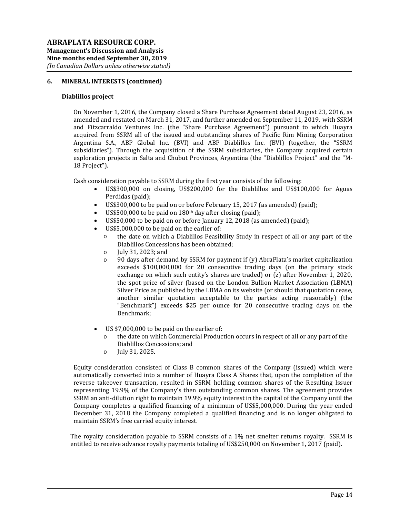### **6. MINERAL INTERESTS (continued)**

#### **Diablillos project**

On November 1, 2016, the Company closed a Share Purchase Agreement dated August 23, 2016, as amended and restated on March 31, 2017, and further amended on September 11, 2019, with SSRM and Fitzcarraldo Ventures Inc. (the "Share Purchase Agreement") pursuant to which Huayra acquired from SSRM all of the issued and outstanding shares of Pacific Rim Mining Corporation Argentina S.A., ABP Global Inc. (BVI) and ABP Diablillos Inc. (BVI) (together, the "SSRM subsidiaries"). Through the acquisition of the SSRM subsidiaries, the Company acquired certain exploration projects in Salta and Chubut Provinces, Argentina (the "Diablillos Project" and the "M-18 Project").

Cash consideration payable to SSRM during the first year consists of the following:

- US\$300,000 on closing, US\$200,000 for the Diablillos and US\$100,000 for Aguas Perdidas (paid);
- US\$300,000 to be paid on or before February 15, 2017 (as amended) (paid);
- US\$500,000 to be paid on  $180<sup>th</sup>$  day after closing (paid);
- US\$50,000 to be paid on or before January 12, 2018 (as amended) (paid);
- US\$5,000,000 to be paid on the earlier of:
	- o the date on which a Diablillos Feasibility Study in respect of all or any part of the Diablillos Concessions has been obtained;
	- o July 31, 2023; and
	- o 90 days after demand by SSRM for payment if (y) AbraPlata's market capitalization exceeds \$100,000,000 for 20 consecutive trading days (on the primary stock exchange on which such entity's shares are traded) or (z) after November 1, 2020, the spot price of silver (based on the London Bullion Market Association (LBMA) Silver Price as published by the LBMA on its website (or should that quotation cease, another similar quotation acceptable to the parties acting reasonably) (the "Benchmark") exceeds \$25 per ounce for 20 consecutive trading days on the Benchmark;
- US \$7,000,000 to be paid on the earlier of:
	- o the date on which Commercial Production occurs in respect of all or any part of the Diablillos Concessions; and
	- o July 31, 2025.

Equity consideration consisted of Class B common shares of the Company (issued) which were automatically converted into a number of Huayra Class A Shares that, upon the completion of the reverse takeover transaction, resulted in SSRM holding common shares of the Resulting Issuer representing 19.9% of the Company's then outstanding common shares. The agreement provides SSRM an anti-dilution right to maintain 19.9% equity interest in the capital of the Company until the Company completes a qualified financing of a minimum of US\$5,000,000. During the year ended December 31, 2018 the Company completed a qualified financing and is no longer obligated to maintain SSRM's free carried equity interest.

The royalty consideration payable to SSRM consists of a 1% net smelter returns royalty. SSRM is entitled to receive advance royalty payments totaling of US\$250,000 on November 1, 2017 (paid).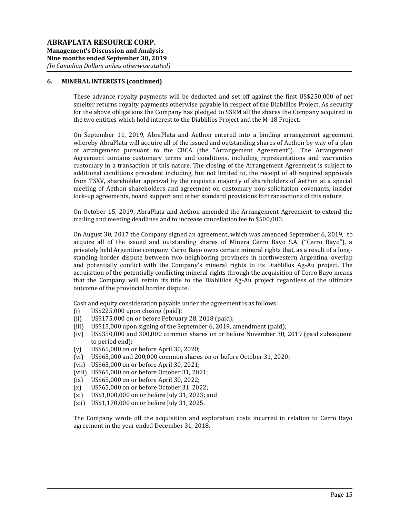#### **6. MINERAL INTERESTS (continued)**

These advance royalty payments will be deducted and set off against the first US\$250,000 of net smelter returns royalty payments otherwise payable in respect of the Diablillos Project. As security for the above obligations the Company has pledged to SSRM all the shares the Company acquired in the two entities which hold interest to the Diablillos Project and the M-18 Project.

On September 11, 2019, AbraPlata and Aethon entered into a binding arrangement agreement whereby AbraPlata will acquire all of the issued and outstanding shares of Aethon by way of a plan of arrangement pursuant to the CBCA (the "Arrangement Agreement"). The Arrangement Agreement contains customary terms and conditions, including representations and warranties customary in a transaction of this nature. The closing of the Arrangement Agreement is subject to additional conditions precedent including, but not limited to, the receipt of all required approvals from TSXV, shareholder approval by the requisite majority of shareholders of Aethon at a special meeting of Aethon shareholders and agreement on customary non-solicitation covenants, insider lock-up agreements, board support and other standard provisions for transactions of this nature.

On October 15, 2019, AbraPlata and Aethon amended the Arrangement Agreement to extend the mailing and meeting deadlines and to increase cancellation fee to \$500,000.

On August 30, 2017 the Company signed an agreement, which was amended September 6, 2019, to acquire all of the issued and outstanding shares of Minera Cerro Bayo S.A. ("Cerro Bayo"), a privately held Argentine company. Cerro Bayo owns certain mineral rights that, as a result of a longstanding border dispute between two neighboring provinces in northwestern Argentina, overlap and potentially conflict with the Company's mineral rights to its Diablillos Ag-Au project. The acquisition of the potentially conflicting mineral rights through the acquisition of Cerro Bayo means that the Company will retain its title to the Diablillos Ag-Au project regardless of the ultimate outcome of the provincial border dispute.

Cash and equity consideration payable under the agreement is as follows:

- (i) US\$225,000 upon closing (paid);
- (ii) US\$175,000 on or before February 28, 2018 (paid);
- (iii) US\$15,000 upon signing of the September 6, 2019, amendment (paid);
- (iv) US\$350,000 and 300,000 common shares on or before November 30, 2019 (paid subsequent to period end);
- (v) US\$65,000 on or before April 30, 2020;
- (vi) US\$65,000 and 200,000 common shares on or before October 31, 2020;
- (vii) US\$65,000 on or before April 30, 2021;
- (viii) US\$65,000 on or before October 31, 2021;
- (ix) US\$65,000 on or before April 30, 2022;
- (x) US\$65,000 on or before October 31, 2022;
- (xi) US\$1,000,000 on or before July 31, 2023; and
- (xii) US\$1,170,000 on or before July 31, 2025.

The Company wrote off the acquisition and exploration costs incurred in relation to Cerro Bayo agreement in the year ended December 31, 2018.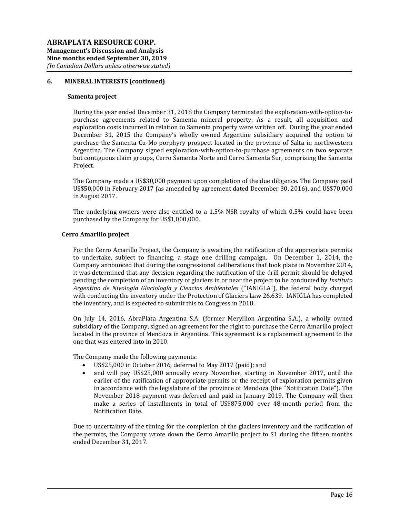### **6. MINERAL INTERESTS (continued)**

#### **Samenta project**

During the year ended December 31, 2018 the Company terminated the exploration-with-option-topurchase agreements related to Samenta mineral property. As a result, all acquisition and exploration costs incurred in relation to Samenta property were written off. During the year ended December 31, 2015 the Company's wholly owned Argentine subsidiary acquired the option to purchase the Samenta Cu-Mo porphyry prospect located in the province of Salta in northwestern Argentina. The Company signed exploration-with-option-to-purchase agreements on two separate but contiguous claim groups, Cerro Samenta Norte and Cerro Samenta Sur, comprising the Samenta Project.

The Company made a US\$30,000 payment upon completion of the due diligence. The Company paid US\$50,000 in February 2017 (as amended by agreement dated December 30, 2016), and US\$70,000 in August 2017.

The underlying owners were also entitled to a 1.5% NSR royalty of which 0.5% could have been purchased by the Company for US\$1,000,000.

#### **Cerro Amarillo project**

For the Cerro Amarillo Project, the Company is awaiting the ratification of the appropriate permits to undertake, subject to financing, a stage one drilling campaign. On December 1, 2014, the Company announced that during the congressional deliberations that took place in November 2014, it was determined that any decision regarding the ratification of the drill permit should be delayed pending the completion of an inventory of glaciers in or near the project to be conducted by *Instituto Argentino de Nivología Glaciología y Ciencias Ambientales* ("IANIGLA"), the federal body charged with conducting the inventory under the Protection of Glaciers Law 26.639. IANIGLA has completed the inventory, and is expected to submit this to Congress in 2018.

On July 14, 2016, AbraPlata Argentina S.A. (former Meryllion Argentina S.A.), a wholly owned subsidiary of the Company, signed an agreement for the right to purchase the Cerro Amarillo project located in the province of Mendoza in Argentina. This agreement is a replacement agreement to the one that was entered into in 2010.

The Company made the following payments:

- US\$25,000 in October 2016, deferred to May 2017 (paid); and
- and will pay US\$25,000 annually every November, starting in November 2017, until the earlier of the ratification of appropriate permits or the receipt of exploration permits given in accordance with the legislature of the province of Mendoza (the "Notification Date"). The November 2018 payment was deferred and paid in January 2019. The Company will then make a series of installments in total of US\$875,000 over 48-month period from the Notification Date.

Due to uncertainty of the timing for the completion of the glaciers inventory and the ratification of the permits, the Company wrote down the Cerro Amarillo project to \$1 during the fifteen months ended December 31, 2017.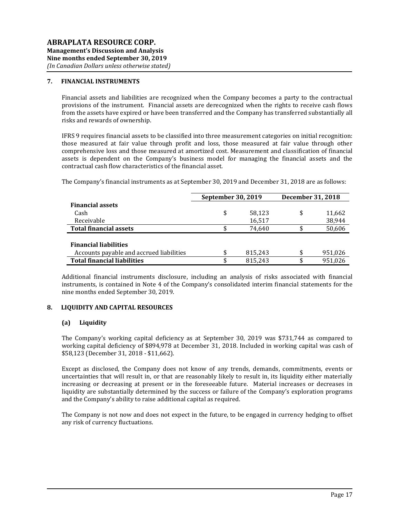## **7. FINANCIAL INSTRUMENTS**

Financial assets and liabilities are recognized when the Company becomes a party to the contractual provisions of the instrument. Financial assets are derecognized when the rights to receive cash flows from the assets have expired or have been transferred and the Company has transferred substantially all risks and rewards of ownership.

IFRS 9 requires financial assets to be classified into three measurement categories on initial recognition: those measured at fair value through profit and loss, those measured at fair value through other comprehensive loss and those measured at amortized cost. Measurement and classification of financial assets is dependent on the Company's business model for managing the financial assets and the contractual cash flow characteristics of the financial asset.

The Company's financial instruments as at September 30, 2019 and December 31, 2018 are as follows:

|                                          | September 30, 2019 | <b>December 31, 2018</b> |               |
|------------------------------------------|--------------------|--------------------------|---------------|
| <b>Financial assets</b>                  |                    |                          |               |
| Cash                                     | \$                 | 58,123                   | \$<br>11,662  |
| Receivable                               |                    | 16,517                   | 38,944        |
| <b>Total financial assets</b>            |                    | 74.640                   | 50,606        |
|                                          |                    |                          |               |
| <b>Financial liabilities</b>             |                    |                          |               |
| Accounts payable and accrued liabilities | \$                 | 815,243                  | \$<br>951,026 |
| <b>Total financial liabilities</b>       | \$                 | 815,243                  | \$<br>951.026 |

Additional financial instruments disclosure, including an analysis of risks associated with financial instruments, is contained in Note 4 of the Company's consolidated interim financial statements for the nine months ended September 30, 2019.

### **8. LIQUIDITY AND CAPITAL RESOURCES**

## **(a) Liquidity**

The Company's working capital deficiency as at September 30, 2019 was \$731,744 as compared to working capital deficiency of \$894,978 at December 31, 2018. Included in working capital was cash of \$58,123 (December 31, 2018 - \$11,662).

Except as disclosed, the Company does not know of any trends, demands, commitments, events or uncertainties that will result in, or that are reasonably likely to result in, its liquidity either materially increasing or decreasing at present or in the foreseeable future. Material increases or decreases in liquidity are substantially determined by the success or failure of the Company's exploration programs and the Company's ability to raise additional capital as required.

The Company is not now and does not expect in the future, to be engaged in currency hedging to offset any risk of currency fluctuations.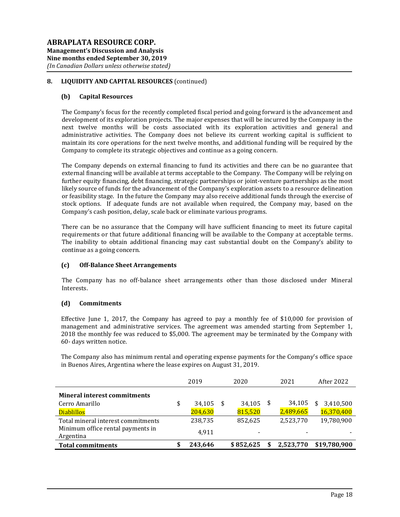# **8. LIQUIDITY AND CAPITAL RESOURCES** (continued)

#### **(b) Capital Resources**

The Company's focus for the recently completed fiscal period and going forward is the advancement and development of its exploration projects. The major expenses that will be incurred by the Company in the next twelve months will be costs associated with its exploration activities and general and administrative activities. The Company does not believe its current working capital is sufficient to maintain its core operations for the next twelve months, and additional funding will be required by the Company to complete its strategic objectives and continue as a going concern.

The Company depends on external financing to fund its activities and there can be no guarantee that external financing will be available at terms acceptable to the Company. The Company will be relying on further equity financing, debt financing, strategic partnerships or joint-venture partnerships as the most likely source of funds for the advancement of the Company's exploration assets to a resource delineation or feasibility stage. In the future the Company may also receive additional funds through the exercise of stock options. If adequate funds are not available when required, the Company may, based on the Company's cash position, delay, scale back or eliminate various programs.

There can be no assurance that the Company will have sufficient financing to meet its future capital requirements or that future additional financing will be available to the Company at acceptable terms. The inability to obtain additional financing may cast substantial doubt on the Company's ability to continue as a going concern.

### **(c) Off-Balance Sheet Arrangements**

The Company has no off-balance sheet arrangements other than those disclosed under Mineral Interests.

#### **(d) Commitments**

Effective June 1, 2017, the Company has agreed to pay a monthly fee of \$10,000 for provision of management and administrative services. The agreement was amended starting from September 1, 2018 the monthly fee was reduced to \$5,000. The agreement may be terminated by the Company with 60- days written notice.

The Company also has minimum rental and operating expense payments for the Company's office space in Buenos Aires, Argentina where the lease expires on August 31, 2019.

|                                     | 2019         | 2020      | 2021      | After 2022     |
|-------------------------------------|--------------|-----------|-----------|----------------|
| <b>Mineral interest commitments</b> |              |           |           |                |
| Cerro Amarillo                      | \$<br>34,105 | 34,105    | 34,105    | 3,410,500<br>S |
| <b>Diablillos</b>                   | 204,630      | 815,520   | 2,489,665 | 16,370,400     |
| Total mineral interest commitments  | 238,735      | 852,625   | 2,523,770 | 19,780,900     |
| Minimum office rental payments in   | 4.911        |           |           |                |
| Argentina                           |              |           |           |                |
| <b>Total commitments</b>            | 243.646      | \$852.625 | 2.523.770 | \$19,780,900   |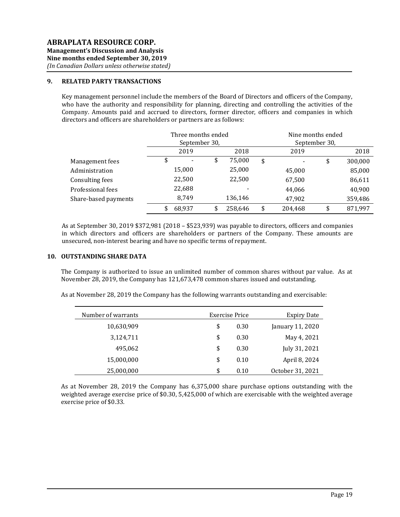### **9. RELATED PARTY TRANSACTIONS**

Key management personnel include the members of the Board of Directors and officers of the Company, who have the authority and responsibility for planning, directing and controlling the activities of the Company. Amounts paid and accrued to directors, former director, officers and companies in which directors and officers are shareholders or partners are as follows:

|                      |    | Three months ended<br>September 30, |               | Nine months ended<br>September 30. |    |         |  |
|----------------------|----|-------------------------------------|---------------|------------------------------------|----|---------|--|
|                      |    | 2019                                | 2018          | 2019                               |    | 2018    |  |
| Management fees      | ۰Ф |                                     | \$<br>75,000  | \$                                 | \$ | 300,000 |  |
| Administration       |    | 15,000                              | 25,000        | 45,000                             |    | 85,000  |  |
| Consulting fees      |    | 22,500                              | 22,500        | 67,500                             |    | 86,611  |  |
| Professional fees    |    | 22,688                              |               | 44,066                             |    | 40,900  |  |
| Share-based payments |    | 8,749                               | 136,146       | 47,902                             |    | 359,486 |  |
|                      | \$ | 68,937                              | \$<br>258,646 | \$<br>204,468                      | \$ | 871,997 |  |

As at September 30, 2019 \$372,981 (2018 – \$523,939) was payable to directors, officers and companies in which directors and officers are shareholders or partners of the Company. These amounts are unsecured, non-interest bearing and have no specific terms of repayment.

#### **10. OUTSTANDING SHARE DATA**

The Company is authorized to issue an unlimited number of common shares without par value. As at November 28, 2019, the Company has 121,673,478 common shares issued and outstanding.

As at November 28, 2019 the Company has the following warrants outstanding and exercisable:

| <b>Expiry Date</b> | Exercise Price | Number of warrants |
|--------------------|----------------|--------------------|
| January 11, 2020   | 0.30           | \$<br>10,630,909   |
| May 4, 2021        | 0.30           | \$<br>3,124,711    |
| July 31, 2021      | 0.30           | \$<br>495,062      |
| April 8, 2024      | 0.10           | \$<br>15,000,000   |
| October 31, 2021   | 0.10           | \$<br>25,000,000   |

As at November 28, 2019 the Company has 6,375,000 share purchase options outstanding with the weighted average exercise price of \$0.30, 5,425,000 of which are exercisable with the weighted average exercise price of \$0.33.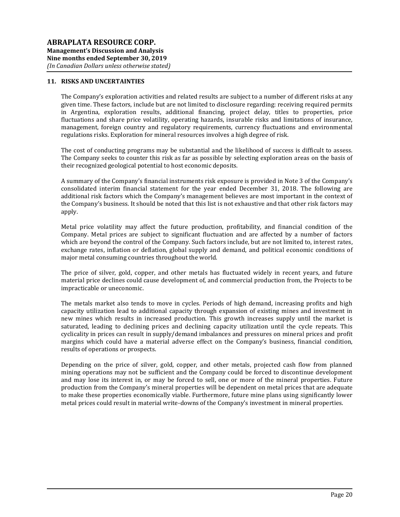### **11. RISKS AND UNCERTAINTIES**

The Company's exploration activities and related results are subject to a number of different risks at any given time. These factors, include but are not limited to disclosure regarding: receiving required permits in Argentina, exploration results, additional financing, project delay, titles to properties, price fluctuations and share price volatility, operating hazards, insurable risks and limitations of insurance, management, foreign country and regulatory requirements, currency fluctuations and environmental regulations risks. Exploration for mineral resources involves a high degree of risk.

The cost of conducting programs may be substantial and the likelihood of success is difficult to assess. The Company seeks to counter this risk as far as possible by selecting exploration areas on the basis of their recognized geological potential to host economic deposits.

A summary of the Company's financial instruments risk exposure is provided in Note 3 of the Company's consolidated interim financial statement for the year ended December 31, 2018. The following are additional risk factors which the Company's management believes are most important in the context of the Company's business. It should be noted that this list is not exhaustive and that other risk factors may apply.

Metal price volatility may affect the future production, profitability, and financial condition of the Company. Metal prices are subject to significant fluctuation and are affected by a number of factors which are beyond the control of the Company. Such factors include, but are not limited to, interest rates, exchange rates, inflation or deflation, global supply and demand, and political economic conditions of major metal consuming countries throughout the world.

The price of silver, gold, copper, and other metals has fluctuated widely in recent years, and future material price declines could cause development of, and commercial production from, the Projects to be impracticable or uneconomic.

The metals market also tends to move in cycles. Periods of high demand, increasing profits and high capacity utilization lead to additional capacity through expansion of existing mines and investment in new mines which results in increased production. This growth increases supply until the market is saturated, leading to declining prices and declining capacity utilization until the cycle repeats. This cyclicality in prices can result in supply/demand imbalances and pressures on mineral prices and profit margins which could have a material adverse effect on the Company's business, financial condition, results of operations or prospects.

Depending on the price of silver, gold, copper, and other metals, projected cash flow from planned mining operations may not be sufficient and the Company could be forced to discontinue development and may lose its interest in, or may be forced to sell, one or more of the mineral properties. Future production from the Company's mineral properties will be dependent on metal prices that are adequate to make these properties economically viable. Furthermore, future mine plans using significantly lower metal prices could result in material write-downs of the Company's investment in mineral properties.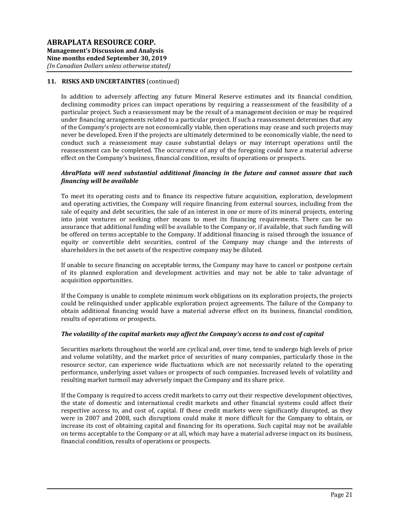In addition to adversely affecting any future Mineral Reserve estimates and its financial condition, declining commodity prices can impact operations by requiring a reassessment of the feasibility of a particular project. Such a reassessment may be the result of a management decision or may be required under financing arrangements related to a particular project. If such a reassessment determines that any of the Company's projects are not economically viable, then operations may cease and such projects may never be developed. Even if the projects are ultimately determined to be economically viable, the need to conduct such a reassessment may cause substantial delays or may interrupt operations until the reassessment can be completed. The occurrence of any of the foregoing could have a material adverse effect on the Company's business, financial condition, results of operations or prospects.

### *AbraPlata will need substantial additional financing in the future and cannot assure that such financing will be available*

To meet its operating costs and to finance its respective future acquisition, exploration, development and operating activities, the Company will require financing from external sources, including from the sale of equity and debt securities, the sale of an interest in one or more of its mineral projects, entering into joint ventures or seeking other means to meet its financing requirements. There can be no assurance that additional funding will be available to the Company or, if available, that such funding will be offered on terms acceptable to the Company. If additional financing is raised through the issuance of equity or convertible debt securities, control of the Company may change and the interests of shareholders in the net assets of the respective company may be diluted.

If unable to secure financing on acceptable terms, the Company may have to cancel or postpone certain of its planned exploration and development activities and may not be able to take advantage of acquisition opportunities.

If the Company is unable to complete minimum work obligations on its exploration projects, the projects could be relinquished under applicable exploration project agreements. The failure of the Company to obtain additional financing would have a material adverse effect on its business, financial condition, results of operations or prospects.

### *The volatility of the capital markets may affect the Company's access to and cost of capital*

Securities markets throughout the world are cyclical and, over time, tend to undergo high levels of price and volume volatility, and the market price of securities of many companies, particularly those in the resource sector, can experience wide fluctuations which are not necessarily related to the operating performance, underlying asset values or prospects of such companies. Increased levels of volatility and resulting market turmoil may adversely impact the Company and its share price.

If the Company is required to access credit markets to carry out their respective development objectives, the state of domestic and international credit markets and other financial systems could affect their respective access to, and cost of, capital. If these credit markets were significantly disrupted, as they were in 2007 and 2008, such disruptions could make it more difficult for the Company to obtain, or increase its cost of obtaining capital and financing for its operations. Such capital may not be available on terms acceptable to the Company or at all, which may have a material adverse impact on its business, financial condition, results of operations or prospects.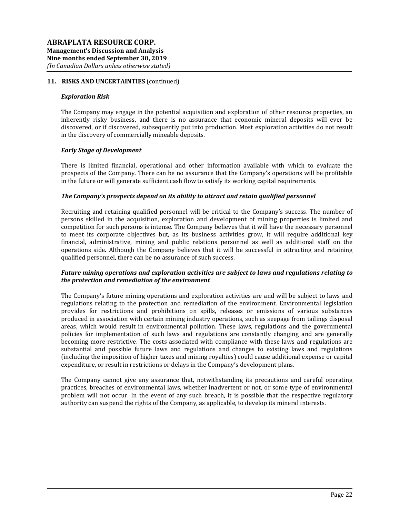#### *Exploration Risk*

The Company may engage in the potential acquisition and exploration of other resource properties, an inherently risky business, and there is no assurance that economic mineral deposits will ever be discovered, or if discovered, subsequently put into production. Most exploration activities do not result in the discovery of commercially mineable deposits.

### *Early Stage of Development*

There is limited financial, operational and other information available with which to evaluate the prospects of the Company. There can be no assurance that the Company's operations will be profitable in the future or will generate sufficient cash flow to satisfy its working capital requirements.

#### *The Company's prospects depend on its ability to attract and retain qualified personnel*

Recruiting and retaining qualified personnel will be critical to the Company's success. The number of persons skilled in the acquisition, exploration and development of mining properties is limited and competition for such persons is intense. The Company believes that it will have the necessary personnel to meet its corporate objectives but, as its business activities grow, it will require additional key financial, administrative, mining and public relations personnel as well as additional staff on the operations side. Although the Company believes that it will be successful in attracting and retaining qualified personnel, there can be no assurance of such success.

## *Future mining operations and exploration activities are subject to laws and regulations relating to the protection and remediation of the environment*

The Company's future mining operations and exploration activities are and will be subject to laws and regulations relating to the protection and remediation of the environment. Environmental legislation provides for restrictions and prohibitions on spills, releases or emissions of various substances produced in association with certain mining industry operations, such as seepage from tailings disposal areas, which would result in environmental pollution. These laws, regulations and the governmental policies for implementation of such laws and regulations are constantly changing and are generally becoming more restrictive. The costs associated with compliance with these laws and regulations are substantial and possible future laws and regulations and changes to existing laws and regulations (including the imposition of higher taxes and mining royalties) could cause additional expense or capital expenditure, or result in restrictions or delays in the Company's development plans.

The Company cannot give any assurance that, notwithstanding its precautions and careful operating practices, breaches of environmental laws, whether inadvertent or not, or some type of environmental problem will not occur. In the event of any such breach, it is possible that the respective regulatory authority can suspend the rights of the Company, as applicable, to develop its mineral interests.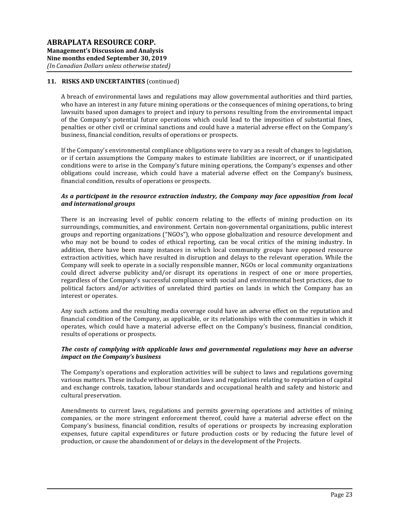A breach of environmental laws and regulations may allow governmental authorities and third parties, who have an interest in any future mining operations or the consequences of mining operations, to bring lawsuits based upon damages to project and injury to persons resulting from the environmental impact of the Company's potential future operations which could lead to the imposition of substantial fines, penalties or other civil or criminal sanctions and could have a material adverse effect on the Company's business, financial condition, results of operations or prospects.

If the Company's environmental compliance obligations were to vary as a result of changes to legislation, or if certain assumptions the Company makes to estimate liabilities are incorrect, or if unanticipated conditions were to arise in the Company's future mining operations, the Company's expenses and other obligations could increase, which could have a material adverse effect on the Company's business, financial condition, results of operations or prospects.

## *As a participant in the resource extraction industry, the Company may face opposition from local and international groups*

There is an increasing level of public concern relating to the effects of mining production on its surroundings, communities, and environment. Certain non-governmental organizations, public interest groups and reporting organizations ("NGOs"), who oppose globalization and resource development and who may not be bound to codes of ethical reporting, can be vocal critics of the mining industry. In addition, there have been many instances in which local community groups have opposed resource extraction activities, which have resulted in disruption and delays to the relevant operation. While the Company will seek to operate in a socially responsible manner, NGOs or local community organizations could direct adverse publicity and/or disrupt its operations in respect of one or more properties, regardless of the Company's successful compliance with social and environmental best practices, due to political factors and/or activities of unrelated third parties on lands in which the Company has an interest or operates.

Any such actions and the resulting media coverage could have an adverse effect on the reputation and financial condition of the Company, as applicable, or its relationships with the communities in which it operates, which could have a material adverse effect on the Company's business, financial condition, results of operations or prospects.

### *The costs of complying with applicable laws and governmental regulations may have an adverse impact on the Company's business*

The Company's operations and exploration activities will be subject to laws and regulations governing various matters. These include without limitation laws and regulations relating to repatriation of capital and exchange controls, taxation, labour standards and occupational health and safety and historic and cultural preservation.

Amendments to current laws, regulations and permits governing operations and activities of mining companies, or the more stringent enforcement thereof, could have a material adverse effect on the Company's business, financial condition, results of operations or prospects by increasing exploration expenses, future capital expenditures or future production costs or by reducing the future level of production, or cause the abandonment of or delays in the development of the Projects.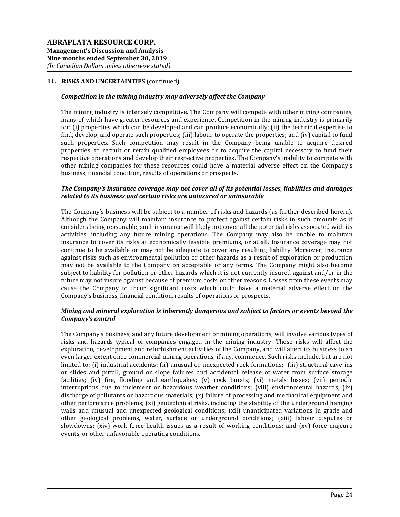### *Competition in the mining industry may adversely affect the Company*

The mining industry is intensely competitive. The Company will compete with other mining companies, many of which have greater resources and experience. Competition in the mining industry is primarily for: (i) properties which can be developed and can produce economically; (ii) the technical expertise to find, develop, and operate such properties; (iii) labour to operate the properties; and (iv) capital to fund such properties. Such competition may result in the Company being unable to acquire desired properties, to recruit or retain qualified employees or to acquire the capital necessary to fund their respective operations and develop their respective properties. The Company's inability to compete with other mining companies for these resources could have a material adverse effect on the Company's business, financial condition, results of operations or prospects.

#### *The Company's insurance coverage may not cover all of its potential losses, liabilities and damages related to its business and certain risks are uninsured or uninsurable*

The Company's business will be subject to a number of risks and hazards (as further described herein). Although the Company will maintain insurance to protect against certain risks in such amounts as it considers being reasonable, such insurance will likely not cover all the potential risks associated with its activities, including any future mining operations. The Company may also be unable to maintain insurance to cover its risks at economically feasible premiums, or at all. Insurance coverage may not continue to be available or may not be adequate to cover any resulting liability. Moreover, insurance against risks such as environmental pollution or other hazards as a result of exploration or production may not be available to the Company on acceptable or any terms. The Company might also become subject to liability for pollution or other hazards which it is not currently insured against and/or in the future may not insure against because of premium costs or other reasons. Losses from these events may cause the Company to incur significant costs which could have a material adverse effect on the Company's business, financial condition, results of operations or prospects.

### *Mining and mineral exploration is inherently dangerous and subject to factors or events beyond the Company's control*

The Company's business, and any future development or mining operations, will involve various types of risks and hazards typical of companies engaged in the mining industry. These risks will affect the exploration, development and refurbishment activities of the Company, and will affect its business to an even larger extent once commercial mining operations, if any, commence. Such risks include, but are not limited to: (i) industrial accidents; (ii) unusual or unexpected rock formations; (iii) structural cave-ins or slides and pitfall, ground or slope failures and accidental release of water from surface storage facilities; (iv) fire, flooding and earthquakes; (v) rock bursts; (vi) metals losses; (vii) periodic interruptions due to inclement or hazardous weather conditions; (viii) environmental hazards; (ix) discharge of pollutants or hazardous materials; (x) failure of processing and mechanical equipment and other performance problems; (xi) geotechnical risks, including the stability of the underground hanging walls and unusual and unexpected geological conditions; (xii) unanticipated variations in grade and other geological problems, water, surface or underground conditions; (xiii) labour disputes or slowdowns; (xiv) work force health issues as a result of working conditions; and (xv) force majeure events, or other unfavorable operating conditions.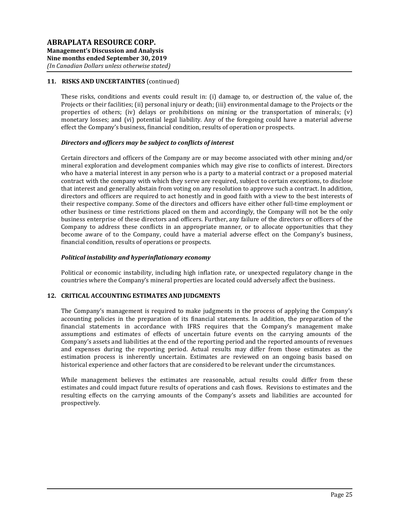These risks, conditions and events could result in: (i) damage to, or destruction of, the value of, the Projects or their facilities; (ii) personal injury or death; (iii) environmental damage to the Projects or the properties of others; (iv) delays or prohibitions on mining or the transportation of minerals; (v) monetary losses; and (vi) potential legal liability. Any of the foregoing could have a material adverse effect the Company's business, financial condition, results of operation or prospects.

#### *Directors and officers may be subject to conflicts of interest*

Certain directors and officers of the Company are or may become associated with other mining and/or mineral exploration and development companies which may give rise to conflicts of interest. Directors who have a material interest in any person who is a party to a material contract or a proposed material contract with the company with which they serve are required, subject to certain exceptions, to disclose that interest and generally abstain from voting on any resolution to approve such a contract. In addition, directors and officers are required to act honestly and in good faith with a view to the best interests of their respective company. Some of the directors and officers have either other full-time employment or other business or time restrictions placed on them and accordingly, the Company will not be the only business enterprise of these directors and officers. Further, any failure of the directors or officers of the Company to address these conflicts in an appropriate manner, or to allocate opportunities that they become aware of to the Company, could have a material adverse effect on the Company's business, financial condition, results of operations or prospects.

#### *Political instability and hyperinflationary economy*

Political or economic instability, including high inflation rate, or unexpected regulatory change in the countries where the Company's mineral properties are located could adversely affect the business.

### **12. CRITICAL ACCOUNTING ESTIMATES AND JUDGMENTS**

The Company's management is required to make judgments in the process of applying the Company's accounting policies in the preparation of its financial statements. In addition, the preparation of the financial statements in accordance with IFRS requires that the Company's management make assumptions and estimates of effects of uncertain future events on the carrying amounts of the Company's assets and liabilities at the end of the reporting period and the reported amounts of revenues and expenses during the reporting period. Actual results may differ from those estimates as the estimation process is inherently uncertain. Estimates are reviewed on an ongoing basis based on historical experience and other factors that are considered to be relevant under the circumstances.

While management believes the estimates are reasonable, actual results could differ from these estimates and could impact future results of operations and cash flows. Revisions to estimates and the resulting effects on the carrying amounts of the Company's assets and liabilities are accounted for prospectively.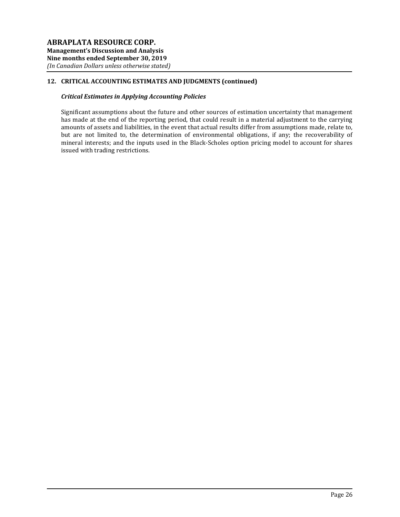# **12. CRITICAL ACCOUNTING ESTIMATES AND JUDGMENTS (continued)**

# *Critical Estimates in Applying Accounting Policies*

Significant assumptions about the future and other sources of estimation uncertainty that management has made at the end of the reporting period, that could result in a material adjustment to the carrying amounts of assets and liabilities, in the event that actual results differ from assumptions made, relate to, but are not limited to, the determination of environmental obligations, if any; the recoverability of mineral interests; and the inputs used in the Black-Scholes option pricing model to account for shares issued with trading restrictions.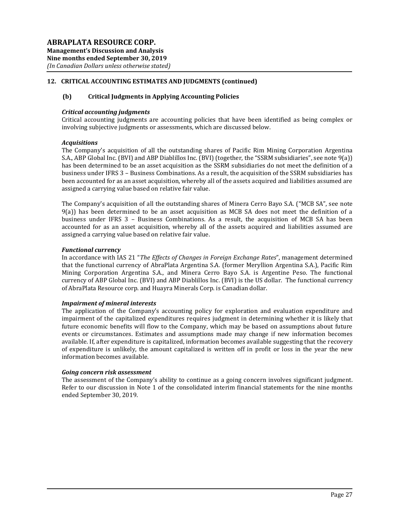# **12. CRITICAL ACCOUNTING ESTIMATES AND JUDGMENTS (continued)**

### **(b) Critical Judgments in Applying Accounting Policies**

#### *Critical accounting judgments*

Critical accounting judgments are accounting policies that have been identified as being complex or involving subjective judgments or assessments, which are discussed below.

#### *Acquisitions*

The Company's acquisition of all the outstanding shares of Pacific Rim Mining Corporation Argentina S.A., ABP Global Inc. (BVI) and ABP Diablillos Inc. (BVI) (together, the "SSRM subsidiaries", see note 9(a)) has been determined to be an asset acquisition as the SSRM subsidiaries do not meet the definition of a business under IFRS 3 – Business Combinations. As a result, the acquisition of the SSRM subsidiaries has been accounted for as an asset acquisition, whereby all of the assets acquired and liabilities assumed are assigned a carrying value based on relative fair value.

The Company's acquisition of all the outstanding shares of Minera Cerro Bayo S.A. ("MCB SA", see note 9(a)) has been determined to be an asset acquisition as MCB SA does not meet the definition of a business under IFRS 3 – Business Combinations. As a result, the acquisition of MCB SA has been accounted for as an asset acquisition, whereby all of the assets acquired and liabilities assumed are assigned a carrying value based on relative fair value.

#### *Functional currency*

In accordance with IAS 21 "*The Effects of Changes in Foreign Exchange Rates*", management determined that the functional currency of AbraPlata Argentina S.A. (former Meryllion Argentina S.A.), Pacific Rim Mining Corporation Argentina S.A., and Minera Cerro Bayo S.A. is Argentine Peso. The functional currency of ABP Global Inc. (BVI) and ABP Diablillos Inc. (BVI) is the US dollar. The functional currency of AbraPlata Resource corp. and Huayra Minerals Corp. is Canadian dollar.

### *Impairment of mineral interests*

The application of the Company's accounting policy for exploration and evaluation expenditure and impairment of the capitalized expenditures requires judgment in determining whether it is likely that future economic benefits will flow to the Company, which may be based on assumptions about future events or circumstances. Estimates and assumptions made may change if new information becomes available. If, after expenditure is capitalized, information becomes available suggesting that the recovery of expenditure is unlikely, the amount capitalized is written off in profit or loss in the year the new information becomes available.

### *Going concern risk assessment*

The assessment of the Company's ability to continue as a going concern involves significant judgment. Refer to our discussion in Note 1 of the consolidated interim financial statements for the nine months ended September 30, 2019.